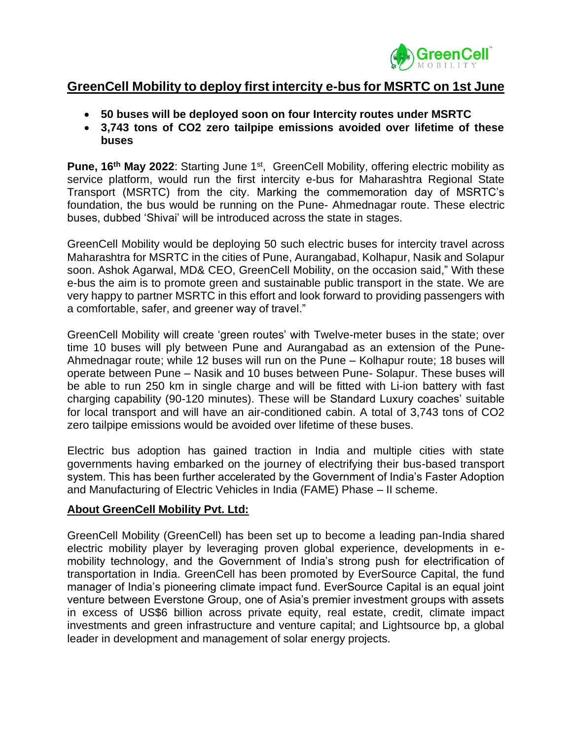

## **GreenCell Mobility to deploy first intercity e-bus for MSRTC on 1st June**

- **50 buses will be deployed soon on four Intercity routes under MSRTC**
- **3,743 tons of CO2 zero tailpipe emissions avoided over lifetime of these buses**

**Pune, 16<sup>th</sup> May 2022:** Starting June 1<sup>st</sup>, GreenCell Mobility, offering electric mobility as service platform, would run the first intercity e-bus for Maharashtra Regional State Transport (MSRTC) from the city. Marking the commemoration day of MSRTC's foundation, the bus would be running on the Pune- Ahmednagar route. These electric buses, dubbed 'Shivai' will be introduced across the state in stages.

GreenCell Mobility would be deploying 50 such electric buses for intercity travel across Maharashtra for MSRTC in the cities of Pune, Aurangabad, Kolhapur, Nasik and Solapur soon. Ashok Agarwal, MD& CEO, GreenCell Mobility, on the occasion said," With these e-bus the aim is to promote green and sustainable public transport in the state. We are very happy to partner MSRTC in this effort and look forward to providing passengers with a comfortable, safer, and greener way of travel."

GreenCell Mobility will create 'green routes' with Twelve-meter buses in the state; over time 10 buses will ply between Pune and Aurangabad as an extension of the Pune-Ahmednagar route; while 12 buses will run on the Pune – Kolhapur route; 18 buses will operate between Pune – Nasik and 10 buses between Pune- Solapur. These buses will be able to run 250 km in single charge and will be fitted with Li-ion battery with fast charging capability (90-120 minutes). These will be Standard Luxury coaches' suitable for local transport and will have an air-conditioned cabin. A total of 3,743 tons of CO2 zero tailpipe emissions would be avoided over lifetime of these buses.

Electric bus adoption has gained traction in India and multiple cities with state governments having embarked on the journey of electrifying their bus-based transport system. This has been further accelerated by the Government of India's Faster Adoption and Manufacturing of Electric Vehicles in India (FAME) Phase – II scheme.

## **About GreenCell Mobility Pvt. Ltd:**

GreenCell Mobility (GreenCell) has been set up to become a leading pan-India shared electric mobility player by leveraging proven global experience, developments in emobility technology, and the Government of India's strong push for electrification of transportation in India. GreenCell has been promoted by EverSource Capital, the fund manager of India's pioneering climate impact fund. EverSource Capital is an equal joint venture between Everstone Group, one of Asia's premier investment groups with assets in excess of US\$6 billion across private equity, real estate, credit, climate impact investments and green infrastructure and venture capital; and Lightsource bp, a global leader in development and management of solar energy projects.